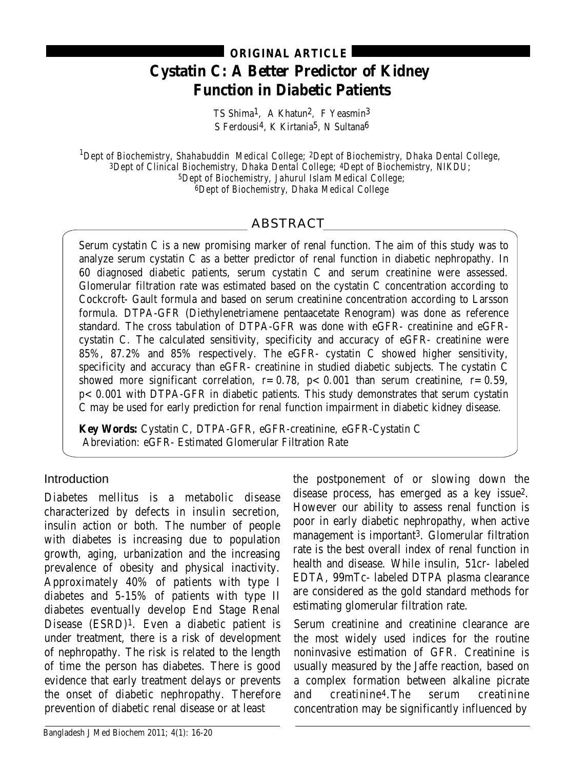# **Cystatin C: A Better Predictor of Kidney Function in Diabetic Patients ORIGINAL ARTICLE**

TS Shima1, A Khatun2, F Yeasmin3 S Ferdousi<sup>4</sup>, K Kirtania<sup>5</sup>, N Sultana<sup>6</sup>

*1 Dept of Biochemistry, Shahabuddin Medical College; 2Dept of Biochemistry, Dhaka Dental College, 3Dept of Clinical Biochemistry, Dhaka Dental College; 4Dept of Biochemistry, NIKDU; 5Dept of Biochemistry, Jahurul Islam Medical College; 6Dept of Biochemistry, Dhaka Medical College*

# ABSTRACT

Serum cystatin C is a new promising marker of renal function. The aim of this study was to analyze serum cystatin C as a better predictor of renal function in diabetic nephropathy. In 60 diagnosed diabetic patients, serum cystatin C and serum creatinine were assessed. Glomerular filtration rate was estimated based on the cystatin C concentration according to Cockcroft- Gault formula and based on serum creatinine concentration according to Larsson formula. DTPA-GFR (Diethylenetriamene pentaacetate Renogram) was done as reference standard. The cross tabulation of DTPA-GFR was done with eGFR- creatinine and eGFRcystatin C. The calculated sensitivity, specificity and accuracy of eGFR- creatinine were 85%, 87.2% and 85% respectively. The eGFR- cystatin  $\tilde{C}$  showed higher sensitivity, specificity and accuracy than eGFR- creatinine in studied diabetic subjects. The cystatin C showed more significant correlation,  $r=0.78$ ,  $p<0.001$  than serum creatinine,  $r=0.59$ , p< 0.001 with DTPA-GFR in diabetic patients. This study demonstrates that serum cystatin C may be used for early prediction for renal function impairment in diabetic kidney disease.

**Key Words:** Cystatin C, DTPA-GFR, eGFR-creatinine, eGFR-Cystatin C Abreviation: eGFR- Estimated Glomerular Filtration Rate

## Introduction

Diabetes mellitus is a metabolic disease characterized by defects in insulin secretion, insulin action or both. The number of people with diabetes is increasing due to population growth, aging, urbanization and the increasing prevalence of obesity and physical inactivity. Approximately 40% of patients with type I diabetes and 5-15% of patients with type II diabetes eventually develop End Stage Renal Disease (ESRD)1. Even a diabetic patient is under treatment, there is a risk of development of nephropathy. The risk is related to the length of time the person has diabetes. There is good evidence that early treatment delays or prevents the onset of diabetic nephropathy. Therefore prevention of diabetic renal disease or at least

the postponement of or slowing down the disease process, has emerged as a key issue2. However our ability to assess renal function is poor in early diabetic nephropathy, when active management is important3. Glomerular filtration rate is the best overall index of renal function in health and disease. While insulin, 51cr- labeled EDTA, 99mTc- labeled DTPA plasma clearance are considered as the gold standard methods for estimating glomerular filtration rate.

Serum creatinine and creatinine clearance are the most widely used indices for the routine noninvasive estimation of GFR. Creatinine is usually measured by the Jaffe reaction, based on a complex formation between alkaline picrate and creatinine4.The serum creatinine concentration may be significantly influenced by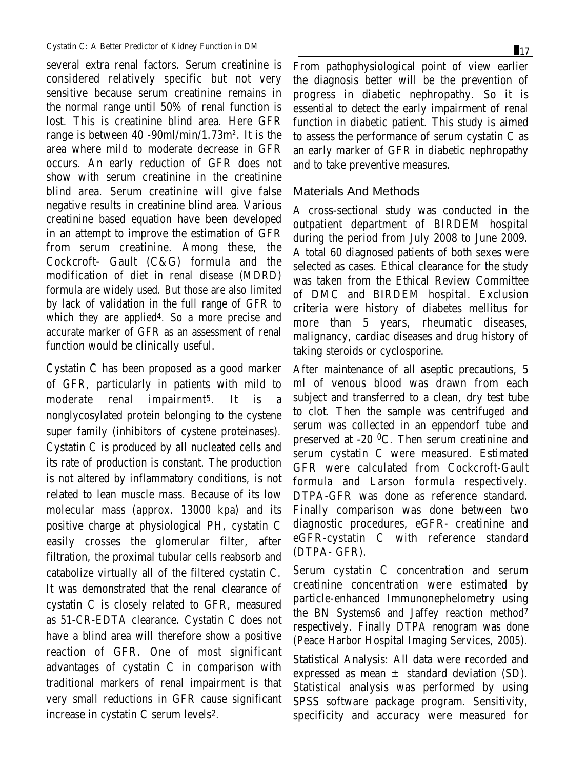several extra renal factors. Serum creatinine is considered relatively specific but not very sensitive because serum creatinine remains in the normal range until 50% of renal function is lost. This is creatinine blind area. Here GFR range is between 40 -90ml/min/1.73m². It is the area where mild to moderate decrease in GFR occurs. An early reduction of GFR does not show with serum creatinine in the creatinine blind area. Serum creatinine will give false negative results in creatinine blind area. Various creatinine based equation have been developed in an attempt to improve the estimation of GFR from serum creatinine. Among these, the Cockcroft- Gault (C&G) formula and the modification of diet in renal disease (MDRD) formula are widely used. But those are also limited by lack of validation in the full range of GFR to which they are applied4. So a more precise and accurate marker of GFR as an assessment of renal function would be clinically useful.

Cystatin C has been proposed as a good marker of GFR, particularly in patients with mild to moderate renal impairment5. It is a nonglycosylated protein belonging to the cystene super family (inhibitors of cystene proteinases). Cystatin C is produced by all nucleated cells and its rate of production is constant. The production is not altered by inflammatory conditions, is not related to lean muscle mass. Because of its low molecular mass (approx. 13000 kpa) and its positive charge at physiological PH, cystatin C easily crosses the glomerular filter, after filtration, the proximal tubular cells reabsorb and catabolize virtually all of the filtered cystatin C. It was demonstrated that the renal clearance of cystatin C is closely related to GFR, measured as 51-CR-EDTA clearance. Cystatin C does not have a blind area will therefore show a positive reaction of GFR. One of most significant advantages of cystatin C in comparison with traditional markers of renal impairment is that very small reductions in GFR cause significant increase in cystatin C serum levels2.

From pathophysiological point of view earlier the diagnosis better will be the prevention of progress in diabetic nephropathy. So it is essential to detect the early impairment of renal function in diabetic patient. This study is aimed to assess the performance of serum cystatin C as an early marker of GFR in diabetic nephropathy and to take preventive measures.

## Materials And Methods

A cross-sectional study was conducted in the outpatient department of BIRDEM hospital during the period from July 2008 to June 2009. A total 60 diagnosed patients of both sexes were selected as cases. Ethical clearance for the study was taken from the Ethical Review Committee of DMC and BIRDEM hospital. Exclusion criteria were history of diabetes mellitus for more than 5 years, rheumatic diseases, malignancy, cardiac diseases and drug history of taking steroids or cyclosporine.

After maintenance of all aseptic precautions, 5 ml of venous blood was drawn from each subject and transferred to a clean, dry test tube to clot. Then the sample was centrifuged and serum was collected in an eppendorf tube and preserved at -20 0C. Then serum creatinine and serum cystatin C were measured. Estimated GFR were calculated from Cockcroft-Gault formula and Larson formula respectively. DTPA-GFR was done as reference standard. Finally comparison was done between two diagnostic procedures, eGFR- creatinine and eGFR-cystatin C with reference standard (DTPA- GFR).

Serum cystatin C concentration and serum creatinine concentration were estimated by particle-enhanced Immunonephelometry using the BN Systems6 and Jaffey reaction method7 respectively. Finally DTPA renogram was done (Peace Harbor Hospital Imaging Services, 2005).

Statistical Analysis: All data were recorded and expressed as mean  $\pm$  standard deviation (SD). Statistical analysis was performed by using SPSS software package program. Sensitivity, specificity and accuracy were measured for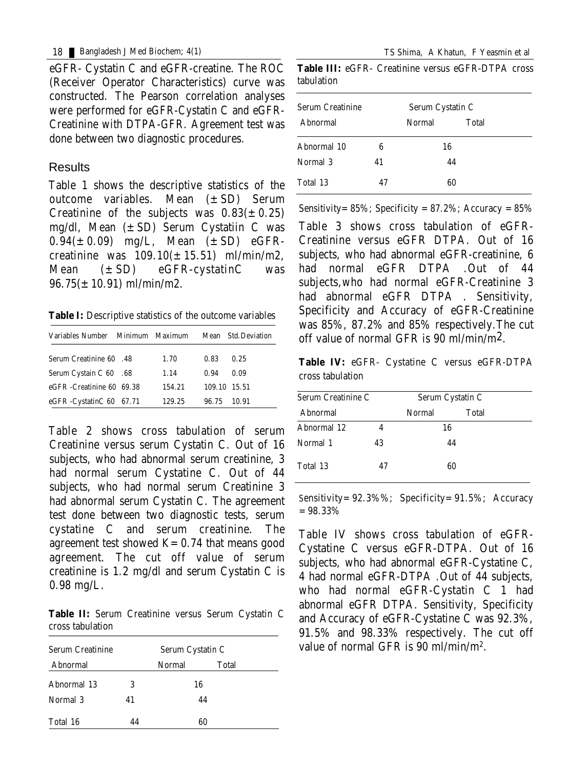eGFR- Cystatin C and eGFR-creatine. The ROC (Receiver Operator Characteristics) curve was constructed. The Pearson correlation analyses were performed for eGFR-Cystatin C and eGFR-Creatinine with DTPA-GFR. Agreement test was done between two diagnostic procedures.

#### Results

Table 1 shows the descriptive statistics of the outcome variables. Mean (±SD) Serum Creatinine of the subjects was  $0.83(\pm 0.25)$ mg/dl, Mean  $(\pm SD)$  Serum Cystatiin C was  $0.94(\pm 0.09)$  mg/L, Mean  $(\pm SD)$  eGFRcreatinine was  $109.10(\pm 15.51)$  ml/min/m2, Mean  $(\pm SD)$  eGFR-cystatinC was  $96.75(\pm 10.91)$  ml/min/m2.

**Table I:** Descriptive statistics of the outcome variables

| Variables Number Minimum Maximum |        |              | <b>Mean</b> Std.Deviation |
|----------------------------------|--------|--------------|---------------------------|
| <b>Serum Creatinine 60 .48</b>   | 1.70   | 0.83         | 0.25                      |
| Serum Cystain C 60 .68           | 1.14   | 0.94         | 0.09                      |
| eGFR-Creatinine 60 69.38         | 154.21 | 109.10 15.51 |                           |
| eGFR-CystatinC 60 67.71          | 129.25 | 96.75        | 10.91                     |

Table 2 shows cross tabulation of serum Creatinine versus serum Cystatin C. Out of 16 subjects, who had abnormal serum creatinine, 3 had normal serum Cystatine C. Out of 44 subjects, who had normal serum Creatinine 3 had abnormal serum Cystatin C. The agreement test done between two diagnostic tests, serum cystatine C and serum creatinine. The agreement test showed  $K=0.74$  that means good agreement. The cut off value of serum creatinine is 1.2 mg/dl and serum Cystatin C is 0.98 mg/L.

**Table II:** Serum Creatinine versus Serum Cystatin C cross tabulation

| <b>Serum Creatinine</b> |    | Serum Cystatin C |       |  |
|-------------------------|----|------------------|-------|--|
| Abnormal                |    | <b>Normal</b>    | Total |  |
| <b>Abnormal 13</b>      | 3  | 16               |       |  |
| Normal 3                | 41 |                  | 44    |  |
| Total 16                | 44 |                  | 60    |  |

|            |  | <b>Table III:</b> eGFR- Creatinine versus eGFR-DTPA cross |  |
|------------|--|-----------------------------------------------------------|--|
| tabulation |  |                                                           |  |

| <b>Serum Creatinine</b> |    | Serum Cystatin C       |    |  |
|-------------------------|----|------------------------|----|--|
| <b>Abnormal</b>         |    | <b>Normal</b><br>Total |    |  |
| Abnormal 10             | 6  | 16                     |    |  |
| Normal 3                | 41 |                        | 44 |  |
| Total 13                | 47 |                        | 60 |  |

Sensitivity =  $85\%$ ; Specificity =  $87.2\%$ ; Accuracy =  $85\%$ 

Table 3 shows cross tabulation of eGFR-Creatinine versus eGFR DTPA. Out of 16 subjects, who had abnormal eGFR-creatinine, 6 had normal eGFR DTPA .Out of 44 subjects,who had normal eGFR-Creatinine 3 had abnormal eGFR DTPA . Sensitivity, Specificity and Accuracy of eGFR-Creatinine was 85%, 87.2% and 85% respectively.The cut off value of normal GFR is 90 ml/min/m2.

**Table IV:** eGFR- Cystatine C versus eGFR-DTPA cross tabulation

| <b>Serum Creatinine C</b><br>Abnormal |    | Serum Cystatin C |       |  |
|---------------------------------------|----|------------------|-------|--|
|                                       |    | <b>Normal</b>    | Total |  |
| Abnormal 12                           |    | 16               |       |  |
| Normal 1                              | 43 |                  | 44    |  |
| Total 13                              | 47 |                  | 60    |  |

Sensitivity =  $92.3\%$ %; Specificity =  $91.5\%$ ; Accuracy  $=98.33\%$ 

Table IV shows cross tabulation of eGFR-Cystatine C versus eGFR-DTPA. Out of 16 subjects, who had abnormal eGFR-Cystatine C, 4 had normal eGFR-DTPA .Out of 44 subjects, who had normal eGFR-Cystatin C 1 had abnormal eGFR DTPA. Sensitivity, Specificity and Accuracy of eGFR-Cystatine C was 92.3%, 91.5% and 98.33% respectively. The cut off value of normal GFR is 90 ml/min/m2.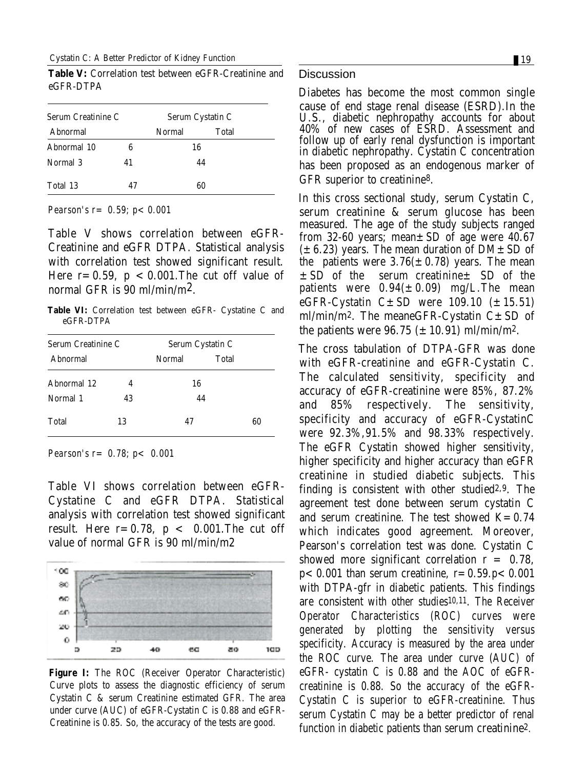Cystatin C: A Better Predictor of Kidney Function 19 and 19 and 19 and 19 and 19 and 19 and 19 and 19 and 19 and 19 and 19 and 19 and 19 and 19 and 19 and 19 and 19 and 19 and 19 and 19 and 19 and 19 and 19 and 19 and 19 a

**Table V:** Correlation test between eGFR-Creatinine and eGFR-DTPA

| <b>Serum Creatinine C</b> |    | Serum Cystatin C |       |
|---------------------------|----|------------------|-------|
| Abnormal                  |    | <b>Normal</b>    | Total |
| Abnormal 10               | 6  | 16               |       |
| Normal 3                  | 41 |                  | 44    |
| Total 13                  | 47 |                  | 60    |

*Pearson's r*= 0.59; *p<* 0.001

Table V shows correlation between eGFR-Creatinine and eGFR DTPA. Statistical analysis with correlation test showed significant result. Here  $r=0.59$ ,  $p < 0.001$ . The cut off value of normal GFR is 90 ml/min/m2.

**Table VI:** Correlation test between eGFR- Cystatine C and eGFR-DTPA

| <b>Serum Creatinine C</b> |    |        | Serum Cystatin C |
|---------------------------|----|--------|------------------|
| Abnormal                  |    | Normal | <b>Total</b>     |
| Abnormal 12               | 4  | 16     |                  |
| Normal 1                  | 43 |        | 44               |
| <b>Total</b>              | 13 | 47     | 60               |

*Pearson's r= 0.78; p< 0.001*

Table VI shows correlation between eGFR-Cystatine C and eGFR DTPA. Statistical analysis with correlation test showed significant result. Here  $r=0.78$ ,  $p < 0.001$ . The cut off value of normal GFR is 90 ml/min/m2



**Figure I:** The ROC (Receiver Operator Characteristic) Curve plots to assess the diagnostic efficiency of serum Cystatin C & serum Creatinine estimated GFR. The area under curve (AUC) of eGFR-Cystatin C is 0.88 and eGFR-Creatinine is 0.85. So, the accuracy of the tests are good.

#### **Discussion**

Diabetes has become the most common single cause of end stage renal disease (ESRD).In the U.S., diabetic nephropathy accounts for about 40% of new cases of ESRD. Assessment and follow up of early renal dysfunction is important in diabetic nephropathy. Cystatin C concentration has been proposed as an endogenous marker of GFR superior to creatinine8.

In this cross sectional study, serum Cystatin C, serum creatinine & serum glucose has been measured. The age of the study subjects ranged from 32-60 years; mean±SD of age were 40.67  $(\pm 6.23)$  years. The mean duration of DM $\pm$ SD of the patients were  $3.76(\pm 0.78)$  years. The mean  $\pm$  SD of the serum creatinine $\pm$  SD of the patients were  $0.94(\pm 0.09)$  mg/L. The mean eGFR-Cystatin  $C \pm SD$  were 109.10 ( $\pm 15.51$ ) ml/min/m<sup>2</sup>. The meaneGFR-Cystatin  $C \pm SD$  of the patients were 96.75 ( $\pm$  10.91) ml/min/m<sup>2</sup>.

The cross tabulation of DTPA-GFR was done with eGFR-creatinine and eGFR-Cystatin C. The calculated sensitivity, specificity and accuracy of eGFR-creatinine were 85%, 87.2% and 85% respectively. The sensitivity, specificity and accuracy of eGFR-CystatinC were 92.3%,91.5% and 98.33% respectively. The eGFR Cystatin showed higher sensitivity, higher specificity and higher accuracy than eGFR creatinine in studied diabetic subjects. This finding is consistent with other studied2,9. The agreement test done between serum cystatin C and serum creatinine. The test showed  $K=0.74$ which indicates good agreement. Moreover, Pearson's correlation test was done. Cystatin C showed more significant correlation  $r = 0.78$ ,  $p < 0.001$  than serum creatinine,  $r = 0.59$ . $p < 0.001$ with DTPA-gfr in diabetic patients. This findings are consistent with other studies10,11. The Receiver Operator Characteristics (ROC) curves were generated by plotting the sensitivity versus specificity. Accuracy is measured by the area under the ROC curve. The area under curve (AUC) of eGFR- cystatin C is 0.88 and the AOC of eGFRcreatinine is 0.88. So the accuracy of the eGFR-Cystatin C is superior to eGFR-creatinine. Thus serum Cystatin C may be a better predictor of renal function in diabetic patients than serum creatinine2.